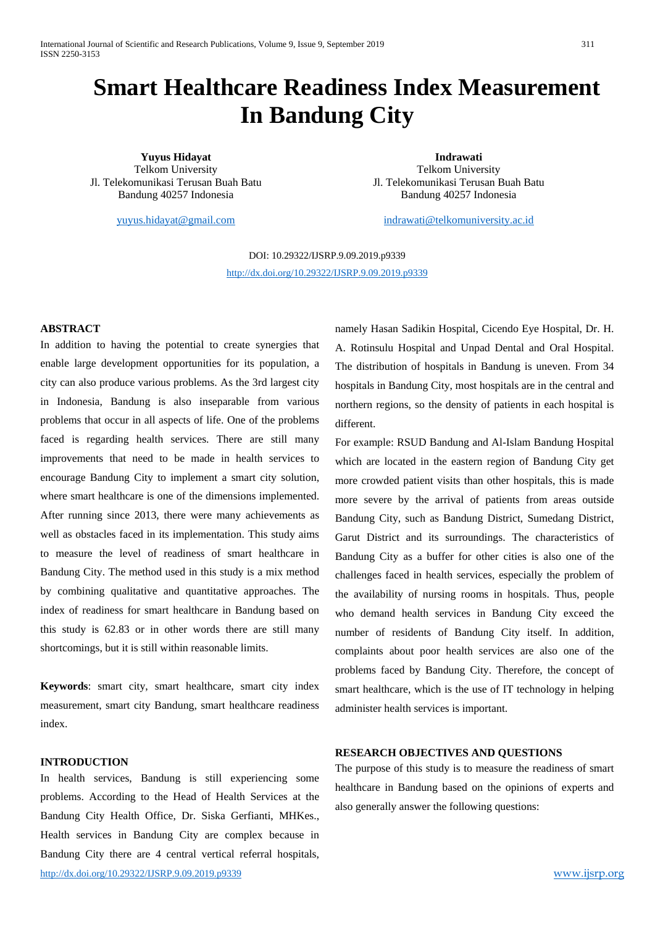# **Smart Healthcare Readiness Index Measurement In Bandung City**

**Yuyus Hidayat** Telkom University Jl. Telekomunikasi Terusan Buah Batu Bandung 40257 Indonesia

[yuyus.hidayat@gmail.com](mailto:yuyus.hidayat@gmail.com)

**Indrawati** Telkom University Jl. Telekomunikasi Terusan Buah Batu Bandung 40257 Indonesia

[indrawati@telkomuniversity.ac.id](mailto:indrawati@telkomuniversity.ac.id)

DOI: 10.29322/IJSRP.9.09.2019.p9339 <http://dx.doi.org/10.29322/IJSRP.9.09.2019.p9339>

#### **ABSTRACT**

In addition to having the potential to create synergies that enable large development opportunities for its population, a city can also produce various problems. As the 3rd largest city in Indonesia, Bandung is also inseparable from various problems that occur in all aspects of life. One of the problems faced is regarding health services. There are still many improvements that need to be made in health services to encourage Bandung City to implement a smart city solution, where smart healthcare is one of the dimensions implemented. After running since 2013, there were many achievements as well as obstacles faced in its implementation. This study aims to measure the level of readiness of smart healthcare in Bandung City. The method used in this study is a mix method by combining qualitative and quantitative approaches. The index of readiness for smart healthcare in Bandung based on this study is 62.83 or in other words there are still many shortcomings, but it is still within reasonable limits.

**Keywords**: smart city, smart healthcare, smart city index measurement, smart city Bandung, smart healthcare readiness index.

## **INTRODUCTION**

<http://dx.doi.org/10.29322/IJSRP.9.09.2019.p9339> [www.ijsrp.org](http://ijsrp.org/) In health services, Bandung is still experiencing some problems. According to the Head of Health Services at the Bandung City Health Office, Dr. Siska Gerfianti, MHKes., Health services in Bandung City are complex because in Bandung City there are 4 central vertical referral hospitals,

namely Hasan Sadikin Hospital, Cicendo Eye Hospital, Dr. H. A. Rotinsulu Hospital and Unpad Dental and Oral Hospital. The distribution of hospitals in Bandung is uneven. From 34 hospitals in Bandung City, most hospitals are in the central and northern regions, so the density of patients in each hospital is different.

For example: RSUD Bandung and Al-Islam Bandung Hospital which are located in the eastern region of Bandung City get more crowded patient visits than other hospitals, this is made more severe by the arrival of patients from areas outside Bandung City, such as Bandung District, Sumedang District, Garut District and its surroundings. The characteristics of Bandung City as a buffer for other cities is also one of the challenges faced in health services, especially the problem of the availability of nursing rooms in hospitals. Thus, people who demand health services in Bandung City exceed the number of residents of Bandung City itself. In addition, complaints about poor health services are also one of the problems faced by Bandung City. Therefore, the concept of smart healthcare, which is the use of IT technology in helping administer health services is important.

### **RESEARCH OBJECTIVES AND QUESTIONS**

The purpose of this study is to measure the readiness of smart healthcare in Bandung based on the opinions of experts and also generally answer the following questions: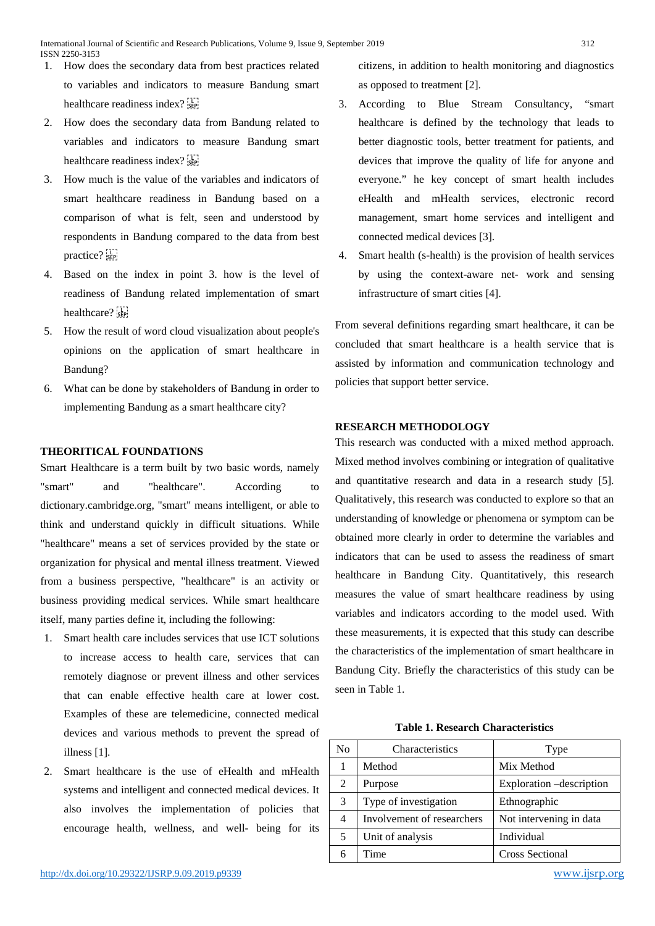- 1. How does the secondary data from best practices related to variables and indicators to measure Bandung smart healthcare readiness index? see
- 2. How does the secondary data from Bandung related to variables and indicators to measure Bandung smart healthcare readiness index?
- 3. How much is the value of the variables and indicators of smart healthcare readiness in Bandung based on a comparison of what is felt, seen and understood by respondents in Bandung compared to the data from best practice? see
- 4. Based on the index in point 3. how is the level of readiness of Bandung related implementation of smart healthcare?
- 5. How the result of word cloud visualization about people's opinions on the application of smart healthcare in Bandung?
- 6. What can be done by stakeholders of Bandung in order to implementing Bandung as a smart healthcare city?

## **THEORITICAL FOUNDATIONS**

Smart Healthcare is a term built by two basic words, namely "smart" and "healthcare". According to dictionary.cambridge.org, "smart" means intelligent, or able to think and understand quickly in difficult situations. While "healthcare" means a set of services provided by the state or organization for physical and mental illness treatment. Viewed from a business perspective, "healthcare" is an activity or business providing medical services. While smart healthcare itself, many parties define it, including the following:

- 1. Smart health care includes services that use ICT solutions to increase access to health care, services that can remotely diagnose or prevent illness and other services that can enable effective health care at lower cost. Examples of these are telemedicine, connected medical devices and various methods to prevent the spread of illness [1].
- 2. Smart healthcare is the use of eHealth and mHealth systems and intelligent and connected medical devices. It also involves the implementation of policies that encourage health, wellness, and well- being for its

citizens, in addition to health monitoring and diagnostics as opposed to treatment [2].

- 3. According to Blue Stream Consultancy, "smart healthcare is defined by the technology that leads to better diagnostic tools, better treatment for patients, and devices that improve the quality of life for anyone and everyone." he key concept of smart health includes eHealth and mHealth services, electronic record management, smart home services and intelligent and connected medical devices [3].
- 4. Smart health (s-health) is the provision of health services by using the context-aware net- work and sensing infrastructure of smart cities [4].

From several definitions regarding smart healthcare, it can be concluded that smart healthcare is a health service that is assisted by information and communication technology and policies that support better service.

#### **RESEARCH METHODOLOGY**

This research was conducted with a mixed method approach. Mixed method involves combining or integration of qualitative and quantitative research and data in a research study [5]. Qualitatively, this research was conducted to explore so that an understanding of knowledge or phenomena or symptom can be obtained more clearly in order to determine the variables and indicators that can be used to assess the readiness of smart healthcare in Bandung City. Quantitatively, this research measures the value of smart healthcare readiness by using variables and indicators according to the model used. With these measurements, it is expected that this study can describe the characteristics of the implementation of smart healthcare in Bandung City. Briefly the characteristics of this study can be seen in Table 1.

**Table 1. Research Characteristics**

| N <sub>0</sub> | Characteristics            | Type                     |
|----------------|----------------------------|--------------------------|
| 1              | Method                     | Mix Method               |
| $\overline{2}$ | Purpose                    | Exploration -description |
| 3              | Type of investigation      | Ethnographic             |
| 4              | Involvement of researchers | Not intervening in data  |
| 5              | Unit of analysis           | Individual               |
|                | Time                       | <b>Cross Sectional</b>   |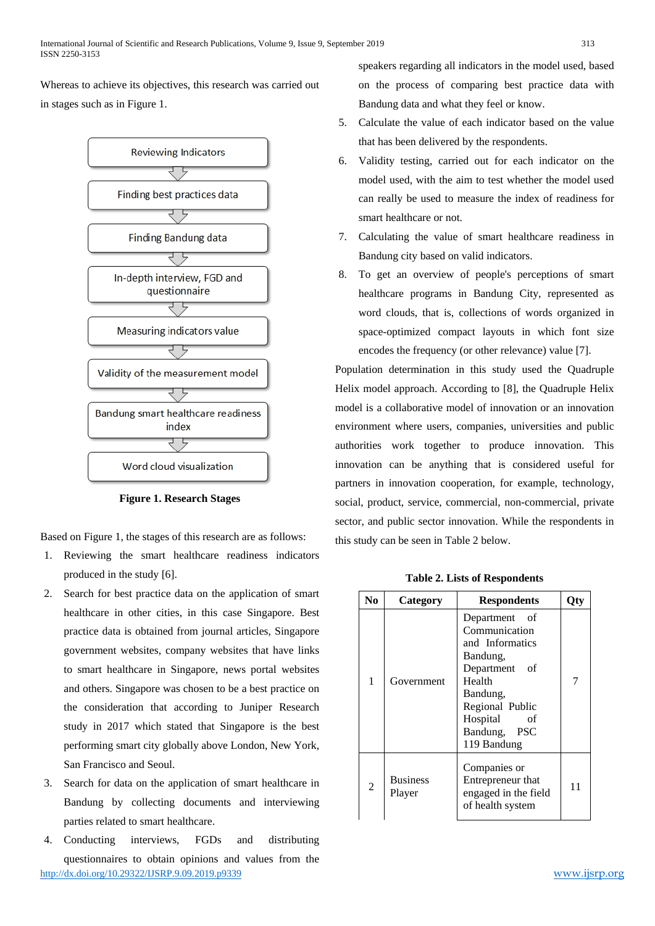Whereas to achieve its objectives, this research was carried out in stages such as in Figure 1.



**Figure 1. Research Stages**

Based on Figure 1, the stages of this research are as follows:

- 1. Reviewing the smart healthcare readiness indicators produced in the study [6].
- 2. Search for best practice data on the application of smart healthcare in other cities, in this case Singapore. Best practice data is obtained from journal articles, Singapore government websites, company websites that have links to smart healthcare in Singapore, news portal websites and others. Singapore was chosen to be a best practice on the consideration that according to Juniper Research study in 2017 which stated that Singapore is the best performing smart city globally above London, New York, San Francisco and Seoul.
- 3. Search for data on the application of smart healthcare in Bandung by collecting documents and interviewing parties related to smart healthcare.
- <http://dx.doi.org/10.29322/IJSRP.9.09.2019.p9339> [www.ijsrp.org](http://ijsrp.org/) 4. Conducting interviews, FGDs and distributing questionnaires to obtain opinions and values from the

speakers regarding all indicators in the model used, based on the process of comparing best practice data with Bandung data and what they feel or know.

- 5. Calculate the value of each indicator based on the value that has been delivered by the respondents.
- 6. Validity testing, carried out for each indicator on the model used, with the aim to test whether the model used can really be used to measure the index of readiness for smart healthcare or not.
- 7. Calculating the value of smart healthcare readiness in Bandung city based on valid indicators.
- 8. To get an overview of people's perceptions of smart healthcare programs in Bandung City, represented as word clouds, that is, collections of words organized in space-optimized compact layouts in which font size encodes the frequency (or other relevance) value [7].

Population determination in this study used the Quadruple Helix model approach. According to [8], the Quadruple Helix model is a collaborative model of innovation or an innovation environment where users, companies, universities and public authorities work together to produce innovation. This innovation can be anything that is considered useful for partners in innovation cooperation, for example, technology, social, product, service, commercial, non-commercial, private sector, and public sector innovation. While the respondents in this study can be seen in Table 2 below.

| <b>Table 2. Lists of Respondents</b> |  |  |  |  |  |  |
|--------------------------------------|--|--|--|--|--|--|
|--------------------------------------|--|--|--|--|--|--|

| N <sub>0</sub> | Category                  | <b>Respondents</b>                                                                                                                                                       | Qty |
|----------------|---------------------------|--------------------------------------------------------------------------------------------------------------------------------------------------------------------------|-----|
| 1              | Government                | Department of<br>Communication<br>and Informatics<br>Bandung,<br>Department of<br>Health<br>Bandung,<br>Regional Public<br>Hospital<br>οf<br>Bandung, PSC<br>119 Bandung |     |
| $\overline{2}$ | <b>Business</b><br>Player | Companies or<br>Entrepreneur that<br>engaged in the field<br>of health system                                                                                            | 11  |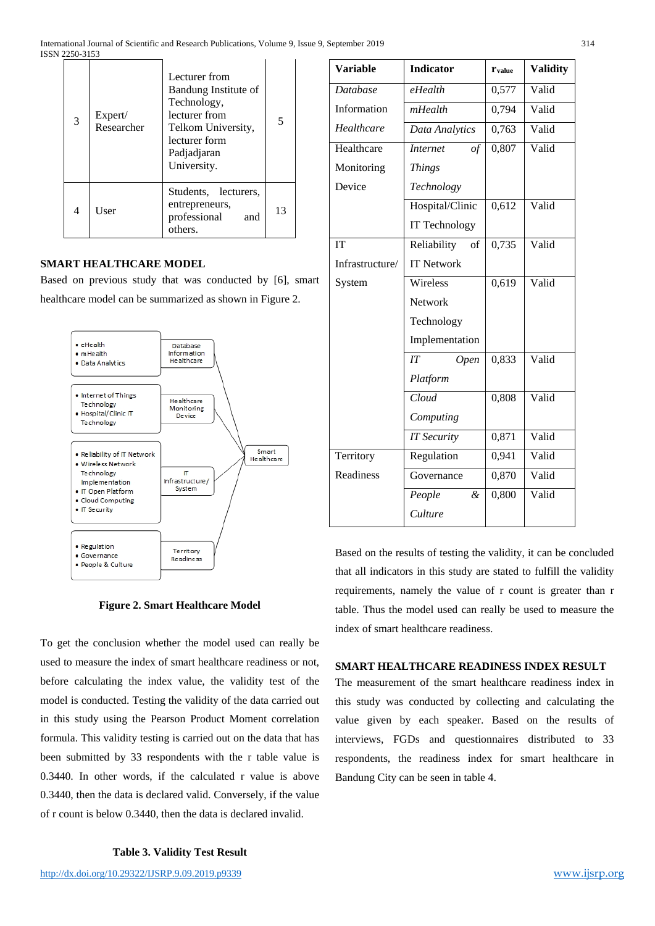| 3 | Expert/<br>Researcher | Lecturer from<br>Bandung Institute of<br>Technology,<br>lecturer from<br>Telkom University,<br>lecturer form<br>Padjadjaran<br>University. | 5  |
|---|-----------------------|--------------------------------------------------------------------------------------------------------------------------------------------|----|
| 4 | User                  | Students, lecturers,<br>entrepreneurs,<br>professional<br>and<br>others.                                                                   | 13 |

#### **SMART HEALTHCARE MODEL**

Based on previous study that was conducted by [6], smart healthcare model can be summarized as shown in Figure 2.



| <b>Variable</b> | <b>Indicator</b>      | <b>r</b> value | <b>Validity</b> |
|-----------------|-----------------------|----------------|-----------------|
| <b>Database</b> | eHealth               | 0,577          | Valid           |
| Information     | mHealth               | 0,794          | Valid           |
| Healthcare      | Data Analytics        | 0,763          | Valid           |
| Healthcare      | <b>Internet</b><br>of | 0,807          | Valid           |
| Monitoring      | <b>Things</b>         |                |                 |
| Device          | Technology            |                |                 |
|                 | Hospital/Clinic       | 0,612          | Valid           |
|                 | IT Technology         |                |                 |
| IT              | Reliability<br>of     | 0,735          | Valid           |
| Infrastructure/ | <b>IT Network</b>     |                |                 |
| System          | Wireless              | 0,619          | Valid           |
|                 | Network               |                |                 |
|                 | Technology            |                |                 |
|                 | Implementation        |                |                 |
|                 | IT<br>Open            | 0,833          | Valid           |
|                 | Platform              |                |                 |
|                 | Cloud                 | 0,808          | Valid           |
|                 | Computing             |                |                 |
|                 | <b>IT Security</b>    | 0,871          | Valid           |
| Territory       | Regulation            | 0,941          | Valid           |
| Readiness       | Governance            | 0,870          | Valid           |
|                 | People<br>&           | 0,800          | Valid           |
|                 | Culture               |                |                 |
|                 |                       |                |                 |

Based on the results of testing the validity, it can be concluded that all indicators in this study are stated to fulfill the validity requirements, namely the value of r count is greater than r table. Thus the model used can really be used to measure the index of smart healthcare readiness.

#### **SMART HEALTHCARE READINESS INDEX RESULT**

The measurement of the smart healthcare readiness index in this study was conducted by collecting and calculating the value given by each speaker. Based on the results of interviews, FGDs and questionnaires distributed to 33 respondents, the readiness index for smart healthcare in Bandung City can be seen in table 4.

#### **Figure 2. Smart Healthcare Model**

To get the conclusion whether the model used can really be used to measure the index of smart healthcare readiness or not, before calculating the index value, the validity test of the model is conducted. Testing the validity of the data carried out in this study using the Pearson Product Moment correlation formula. This validity testing is carried out on the data that has been submitted by 33 respondents with the r table value is 0.3440. In other words, if the calculated r value is above 0.3440, then the data is declared valid. Conversely, if the value of r count is below 0.3440, then the data is declared invalid.

**Table 3. Validity Test Result**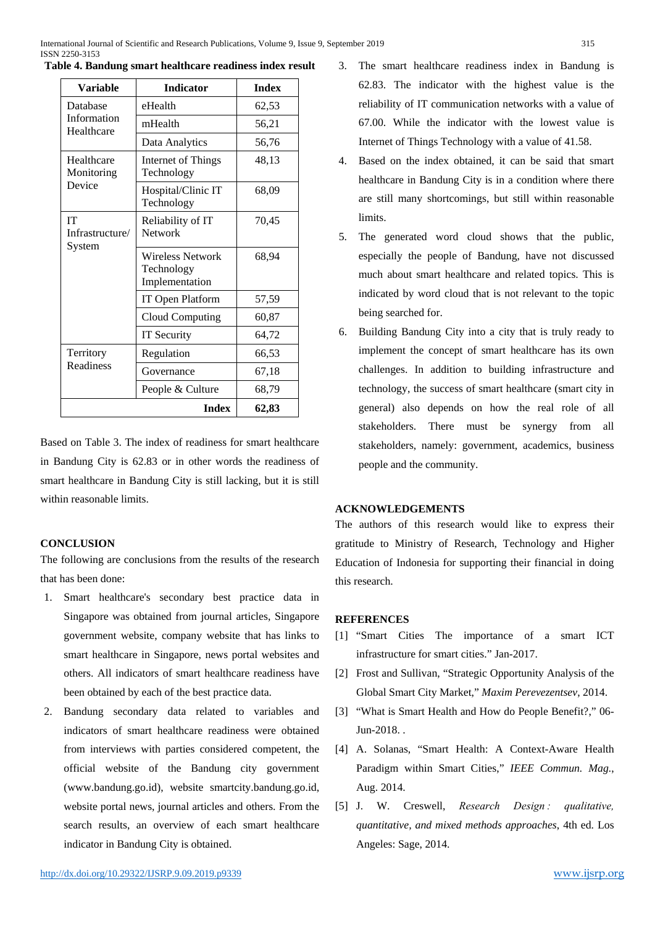| <b>Variable</b>                        | <b>Indicator</b>                                 | <b>Index</b> |
|----------------------------------------|--------------------------------------------------|--------------|
| Database                               | eHealth                                          | 62,53        |
| Information<br>Healthcare              | mHealth                                          | 56,21        |
|                                        | Data Analytics                                   | 56,76        |
| Healthcare<br>Monitoring               | Internet of Things<br>Technology                 | 48,13        |
| Device                                 | Hospital/Clinic IT<br>Technology                 | 68,09        |
| <b>IT</b><br>Infrastructure/<br>System | Reliability of IT<br><b>Network</b>              | 70,45        |
|                                        | Wireless Network<br>Technology<br>Implementation | 68,94        |
|                                        | IT Open Platform                                 | 57,59        |
|                                        | <b>Cloud Computing</b>                           | 60,87        |
|                                        | <b>IT Security</b>                               | 64,72        |
| Territory                              | Regulation                                       | 66,53        |
| Readiness                              | Governance                                       | 67,18        |
|                                        | People & Culture                                 | 68,79        |
|                                        | 62,83                                            |              |

**Table 4. Bandung smart healthcare readiness index result**

Based on Table 3. The index of readiness for smart healthcare in Bandung City is 62.83 or in other words the readiness of smart healthcare in Bandung City is still lacking, but it is still within reasonable limits.

## **CONCLUSION**

The following are conclusions from the results of the research that has been done:

- 1. Smart healthcare's secondary best practice data in Singapore was obtained from journal articles, Singapore government website, company website that has links to smart healthcare in Singapore, news portal websites and others. All indicators of smart healthcare readiness have been obtained by each of the best practice data.
- 2. Bandung secondary data related to variables and indicators of smart healthcare readiness were obtained from interviews with parties considered competent, the official website of the Bandung city government (www.bandung.go.id), website smartcity.bandung.go.id, website portal news, journal articles and others. From the search results, an overview of each smart healthcare indicator in Bandung City is obtained.
- 3. The smart healthcare readiness index in Bandung is 62.83. The indicator with the highest value is the reliability of IT communication networks with a value of 67.00. While the indicator with the lowest value is Internet of Things Technology with a value of 41.58.
- 4. Based on the index obtained, it can be said that smart healthcare in Bandung City is in a condition where there are still many shortcomings, but still within reasonable limits.
- 5. The generated word cloud shows that the public, especially the people of Bandung, have not discussed much about smart healthcare and related topics. This is indicated by word cloud that is not relevant to the topic being searched for.
- 6. Building Bandung City into a city that is truly ready to implement the concept of smart healthcare has its own challenges. In addition to building infrastructure and technology, the success of smart healthcare (smart city in general) also depends on how the real role of all stakeholders. There must be synergy from all stakeholders, namely: government, academics, business people and the community.

## **ACKNOWLEDGEMENTS**

The authors of this research would like to express their gratitude to Ministry of Research, Technology and Higher Education of Indonesia for supporting their financial in doing this research.

## **REFERENCES**

- [1] "Smart Cities The importance of a smart ICT infrastructure for smart cities." Jan-2017.
- [2] Frost and Sullivan, "Strategic Opportunity Analysis of the Global Smart City Market," *Maxim Perevezentsev*, 2014.
- [3] "What is Smart Health and How do People Benefit?," 06- Jun-2018. .
- [4] A. Solanas, "Smart Health: A Context-Aware Health Paradigm within Smart Cities," *IEEE Commun. Mag.*, Aug. 2014.
- [5] J. W. Creswell, *Research Design : qualitative, quantitative, and mixed methods approaches*, 4th ed. Los Angeles: Sage, 2014.